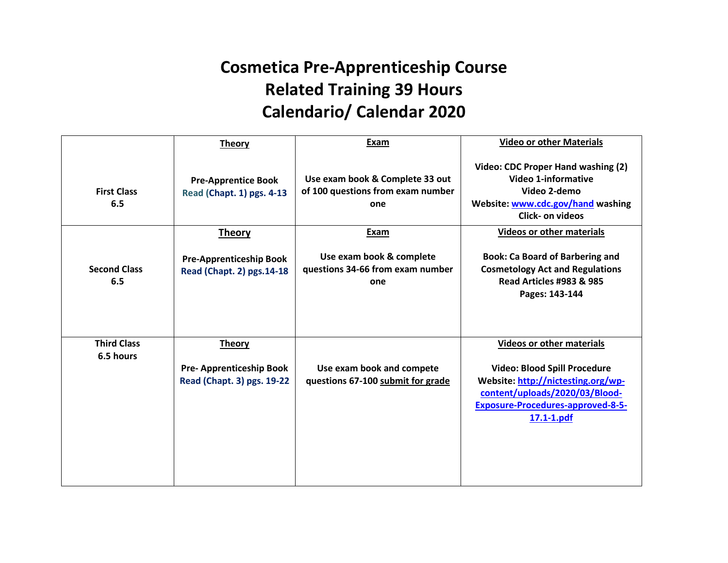## **Cosmetica Pre-Apprenticeship Course Related Training 39 Hours Calendario/ Calendar 2020**

|                            | <b>Theory</b>                                                | Exam                                                                        | <b>Video or other Materials</b>                                                                                                                                           |
|----------------------------|--------------------------------------------------------------|-----------------------------------------------------------------------------|---------------------------------------------------------------------------------------------------------------------------------------------------------------------------|
| <b>First Class</b><br>6.5  | <b>Pre-Apprentice Book</b><br>Read (Chapt. 1) pgs. 4-13      | Use exam book & Complete 33 out<br>of 100 questions from exam number<br>one | Video: CDC Proper Hand washing (2)<br><b>Video 1-informative</b><br>Video 2-demo<br>Website: www.cdc.gov/hand washing<br><b>Click- on videos</b>                          |
|                            | <b>Theory</b>                                                | Exam                                                                        | <b>Videos or other materials</b>                                                                                                                                          |
| <b>Second Class</b><br>6.5 | <b>Pre-Apprenticeship Book</b><br>Read (Chapt. 2) pgs. 14-18 | Use exam book & complete<br>questions 34-66 from exam number<br>one         | <b>Book: Ca Board of Barbering and</b><br><b>Cosmetology Act and Regulations</b><br><b>Read Articles #983 &amp; 985</b><br>Pages: 143-144                                 |
| <b>Third Class</b>         | <b>Theory</b>                                                |                                                                             | <b>Videos or other materials</b>                                                                                                                                          |
| 6.5 hours                  | <b>Pre-Apprenticeship Book</b><br>Read (Chapt. 3) pgs. 19-22 | Use exam book and compete<br>questions 67-100 submit for grade              | <b>Video: Blood Spill Procedure</b><br>Website: http://nictesting.org/wp-<br>content/uploads/2020/03/Blood-<br><b>Exposure-Procedures-approved-8-5-</b><br>$17.1 - 1.pdf$ |